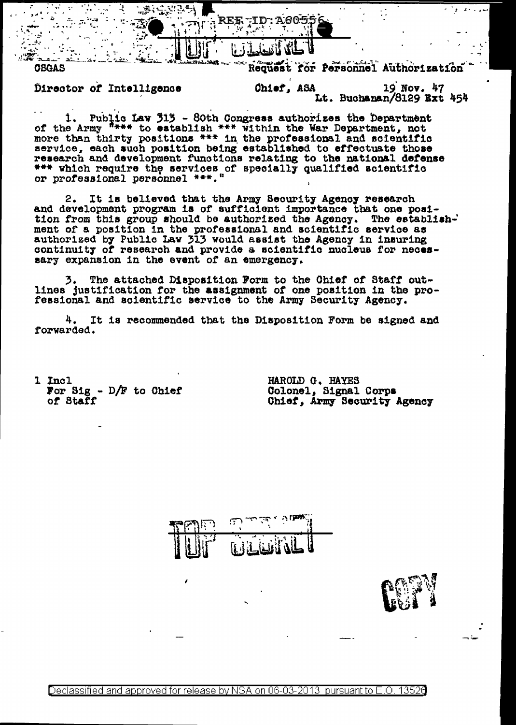

Director of Intelligence

**OBGAS** 

Request for Personnel Authorization

19 Nov. 47 Chief, ASA Lt. Buchanan/8129 Ext 454

Public Law 313 - 80th Congress authorizes the Department 1. of the Army <sup>figure</sup> to establish \*\*\* within the War Department, not more than thirty positions \*\*\* in the professional and scientific<br>service, each such position being established to effectuate those research and development functions relating to the national defense \*\*\* which require the services of specially qualified scientific<br>or professional personnel \*\*\*."

It is believed that the Army Security Agency research  $2.$ and development program is of sufficient importance that one position from this group should be authorized the Agency. The establishment of a position in the professional and scientific service as authorized by Public Law 313 would assist the Agency in insuring continuity of research and provide a scientific nucleus for necessary expansion in the event of an emergency.

3. The attached Disposition Form to the Chief of Staff out-<br>lines justification for the assignment of one position in the professional and scientific service to the Army Security Agency.

4. It is recommended that the Disposition Form be signed and forwarded.

1 Incl For Sig -  $D/F$  to Chief of Staff

HAROLD G. HAYES Colonel, Signal Corps Chief, Army Security Agency



Declassified and approved for release by NSA on 06-03-2013 pursuant to E.O. 13526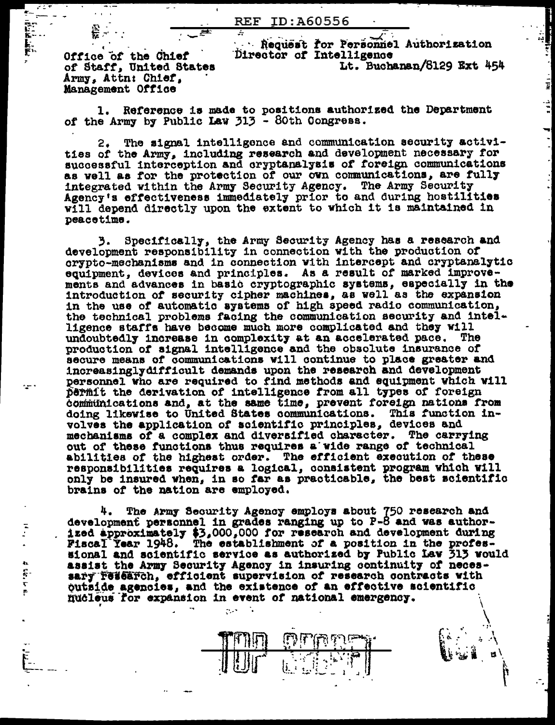Office of the Chief of Staff, United States Army, Attn: Chief, Management Office

**会。** 

 $\mathcal{L} \subset \mathcal{L}$  $\mathbf{r}$ 

**REAL PROPERTY** 

 $\sum_{i=1}^{n}$ 

 $\mathbf{q}_\mathrm{A}$  $\frac{1}{2}$ 

Request for Personnel Authorization Director of Intelligence

Lt. Buchanan/8129 Ext 454

 $\mathfrak{g}$  .

 $\frac{1}{2}$ 

H.

 $\frac{1}{2}$ 

 $\frac{1}{2}$ 

Reference is made to positions authorized the Department of the Army by Public Law  $313 - 80$ th Congress.

The signal intelligence and communication security activi-2. ties of the Army, including research and development necessary for successful interception and cryptanalysis of foreign communications as well as for the protection of our own communications, are fully integrated within the Army Security Agency. The Army Security Agency's effectiveness immediately prior to and during hostilities will depend directly upon the extent to which it is maintained in peacetime.

Specifically, the Army Security Agency has a research and 3. development responsibility in connection with the production of crypto-mechanisms and in connection with intercept and cryptanalytic equipment, devices and principles. As a result of marked improvements and advances in basic cryptographic systems, especially in the introduction of security cipher machines, as well as the expansion in the use of automatic systems of high speed radio communication, the technical problems facing the communication security and intelligence staffs have become much more complicated and they will undoubtedly increase in complexity at an accelerated pace. The production of signal intelligence and the obsolute insurance of secure means of communications will continue to place greater and increasingly difficult demands upon the research and development personnel who are required to find methods and equipment which will permit the derivation of intelligence from all types of foreign communications and, at the same time, prevent foreign nations from doing likewise to United States communications. This function involves the application of scientific principles, devices and mechanisms of a complex and diversified character. The carrying out of these functions thus requires a wide range of technical abilities of the highest order. The efficient execution of these responsibilities requires a logical, consistent program which will only be insured when, in so far as practicable, the best scientific brains of the nation are employed.

The Army Security Agency employs about 750 research and development personnel in grades ranging up to P-8 and was authorized approximately \$3,000,000 for research and development during<br>Fiscal Year 1948. The establishment of a position in the professional and scientific service as authorized by Public Law 313 would assist the Army Security Agency in insuring continuity of neces-<br>sary research, efficient supervision of research contracts with outside agencies, and the existence of an effective scientific nucleus for expansion in event of national emergency.

علىفائيليان

 $\overline{(\mathbf{i},\mathbf{j})}_{\mathbf{k}}$ 

 $\mathcal{O}(\mathcal{A})$  . And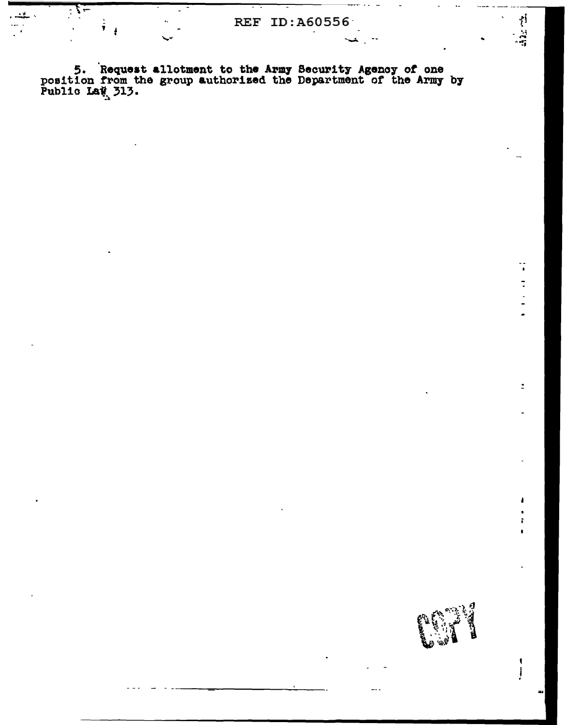5. Request allotment to the Army Security Agency of one position from the group authorized the Department of the Army by Public LaW 313.

 $\frac{1}{2}$  $\frac{1}{2}$ 

 $\ddot{\phantom{a}}$ 

 $\frac{1}{2}$ 

 $\ddot{\phantom{0}}$ 

 $\tilde{\Xi}$ 

ł

ł

 $\blacklozenge$ Ţ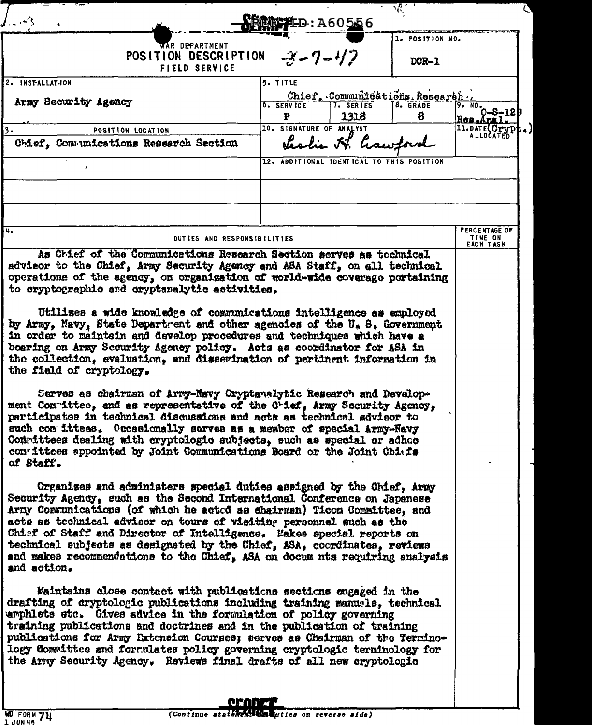|                                                                                                                                                                                                                                                                                                                                                                                                                                                                                                                                                         | <b>控判D:A60556</b>                         |                          | प⁄∶                             |                                                                                        |  |
|---------------------------------------------------------------------------------------------------------------------------------------------------------------------------------------------------------------------------------------------------------------------------------------------------------------------------------------------------------------------------------------------------------------------------------------------------------------------------------------------------------------------------------------------------------|-------------------------------------------|--------------------------|---------------------------------|----------------------------------------------------------------------------------------|--|
| WAR DEPARTMENT                                                                                                                                                                                                                                                                                                                                                                                                                                                                                                                                          |                                           |                          | 1. POSITION NO.                 |                                                                                        |  |
| POSITION DESCRIPTION<br><b>FIELD SERVICE</b>                                                                                                                                                                                                                                                                                                                                                                                                                                                                                                            | $-3 - 7 - 47$                             |                          | DCR-1                           |                                                                                        |  |
| 2. INSTALLATION                                                                                                                                                                                                                                                                                                                                                                                                                                                                                                                                         | 5. TITLE                                  |                          | Chief, Communications Research. |                                                                                        |  |
| Army Security Agency                                                                                                                                                                                                                                                                                                                                                                                                                                                                                                                                    | <sup>6</sup> . SERVICE<br>P               | <b>7. SERIES</b><br>1318 | <b>8. GRADE</b><br>8            | $\int_{0}^{\frac{1}{2}} \frac{1}{10} \cdot \frac{1}{10} \cdot 0 - S = 128$<br>Res.Anal |  |
| POSITION LOCATION<br>3.<br>Chief, Communications Research Section                                                                                                                                                                                                                                                                                                                                                                                                                                                                                       | 10. SIGNATURE OF ANALYST                  | Leslie H. haw            |                                 | 11.DATE(Crypt                                                                          |  |
|                                                                                                                                                                                                                                                                                                                                                                                                                                                                                                                                                         | 12. ADDITIONAL IDENTICAL TO THIS POSITION |                          |                                 |                                                                                        |  |
|                                                                                                                                                                                                                                                                                                                                                                                                                                                                                                                                                         |                                           |                          |                                 |                                                                                        |  |
|                                                                                                                                                                                                                                                                                                                                                                                                                                                                                                                                                         |                                           |                          |                                 |                                                                                        |  |
| 4.                                                                                                                                                                                                                                                                                                                                                                                                                                                                                                                                                      |                                           |                          |                                 | PERCENTAGE OF<br><b>TIME ON</b>                                                        |  |
| DUTIES AND RESPONSIBILITIES<br>As Chief of the Communications Research Section serves as tochnical                                                                                                                                                                                                                                                                                                                                                                                                                                                      |                                           |                          |                                 |                                                                                        |  |
| advisor to the Chief, Army Security Agency and ASA Staff, on all technical<br>operations of the agency, on organization of world-wide coverage portaining                                                                                                                                                                                                                                                                                                                                                                                               |                                           |                          |                                 |                                                                                        |  |
| to cryptographic and cryptanalytic activities.                                                                                                                                                                                                                                                                                                                                                                                                                                                                                                          |                                           |                          |                                 |                                                                                        |  |
| Utilizes a wide knowledge of communications intelligence as employed<br>by Army, Mavy, State Department and other agencies of the U. S. Government<br>in order to maintain and develop procedures and techniques which have a<br>boaring on Army Security Agency policy. Acts as coordinator for ASA in                                                                                                                                                                                                                                                 |                                           |                          |                                 |                                                                                        |  |
| the collection, evaluation, and disserination of pertinent information in<br>the field of cryptology.                                                                                                                                                                                                                                                                                                                                                                                                                                                   |                                           |                          |                                 |                                                                                        |  |
| Serves as chairman of Army-Navy Cryptanalytic Research and Develop-<br>ment Contities, and as representative of the Crief, Army Security Agency,<br>participates in technical discussions and acts as technical advisor to<br>such com ittees. Occasionally serves as a member of special Army-Navy<br>Committees dealing with cryptologic subjects, such as special or adhoo<br>convittees appointed by Joint Communications Board or the Joint Chiefs<br>of Staff.                                                                                    |                                           |                          |                                 |                                                                                        |  |
| Organizes and administers special duties assigned by the Chief, Army<br>Security Agency, such as the Second International Conference on Japanese<br>Arny Communications (of which he acted as chairman) Ticon Committee, and<br>acts as technical advisor on tours of visiting personnel such as the<br>Chief of Staff and Director of Intelligence. Wakes special reports on<br>technical subjects as designated by the Chief, ASA, coordinates, reviews<br>and makes recommendations to the Chief, ASA on docum nts requiring enalysis<br>and action. |                                           |                          |                                 |                                                                                        |  |
| Maintains close contact with publications sections engaged in the<br>drafting of cryptologic publications including training manugls, technical<br>emphlets stc. Gives advice in the formulation of policy governing<br>training publications and doctrines and in the publication of training<br>publications for Army Extension Courses; serves as Chairman of the Termino-<br>logy Committee and formulates policy governing cryptologic terminology for<br>the Army Security Agency. Reviews final drafts of all new cryptologic                    |                                           |                          |                                 |                                                                                        |  |
| Am AR 22                                                                                                                                                                                                                                                                                                                                                                                                                                                                                                                                                |                                           |                          |                                 |                                                                                        |  |